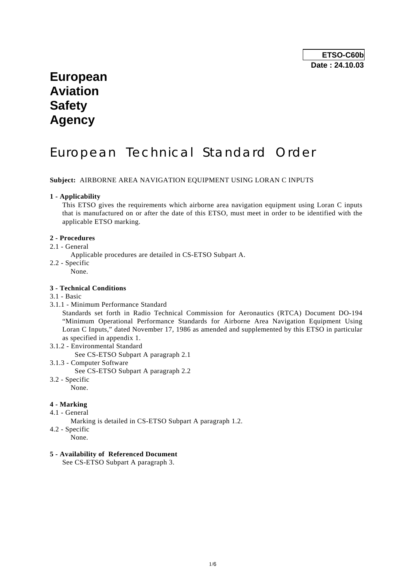# **European Aviation Safety Agency**

# European Technical Standard Order

**Subject:** AIRBORNE AREA NAVIGATION EQUIPMENT USING LORAN C INPUTS

#### **1 - Applicability**

 This ETSO gives the requirements which airborne area navigation equipment using Loran C inputs that is manufactured on or after the date of this ETSO, must meet in order to be identified with the applicable ETSO marking.

## **2 - Procedures**

- 2.1 General
	- Applicable procedures are detailed in CS-ETSO Subpart A.
- 2.2 Specific
	- None.

#### **3 - Technical Conditions**

- 3.1 Basic
- 3.1.1 Minimum Performance Standard

 Standards set forth in Radio Technical Commission for Aeronautics (RTCA) Document DO-194 "Minimum Operational Performance Standards for Airborne Area Navigation Equipment Using Loran C Inputs," dated November 17, 1986 as amended and supplemented by this ETSO in particular as specified in appendix 1.

- 3.1.2 Environmental Standard
	- See CS-ETSO Subpart A paragraph 2.1
- 3.1.3 Computer Software See CS-ETSO Subpart A paragraph 2.2 3.2 - Specific
	- None.

#### **4 - Marking**

- 4.1 General
	- Marking is detailed in CS-ETSO Subpart A paragraph 1.2.
- 4.2 Specific
	- None.

#### **5 - Availability of Referenced Document**

See CS-ETSO Subpart A paragraph 3.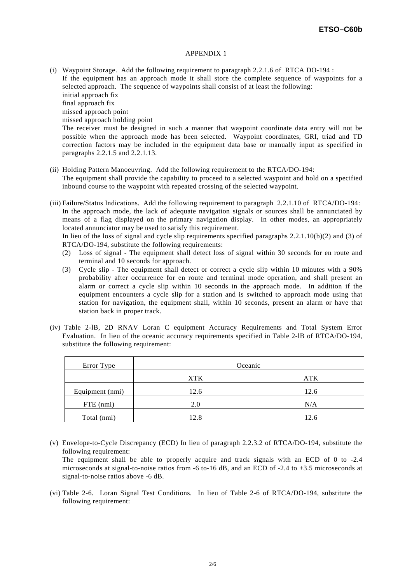#### APPENDIX 1

- (i) Waypoint Storage. Add the following requirement to paragraph 2.2.1.6 of RTCA DO-194 : If the equipment has an approach mode it shall store the complete sequence of waypoints for a selected approach. The sequence of waypoints shall consist of at least the following: initial approach fix final approach fix missed approach point missed approach holding point The receiver must be designed in such a manner that waypoint coordinate data entry will not be possible when the approach mode has been selected. Waypoint coordinates, GRI, triad and TD correction factors may be included in the equipment data base or manually input as specified in paragraphs 2.2.1.5 and 2.2.1.13.
- (ii) Holding Pattern Manoeuvring. Add the following requirement to the RTCA/DO-194: The equipment shall provide the capability to proceed to a selected waypoint and hold on a specified inbound course to the waypoint with repeated crossing of the selected waypoint.
- (iii) Failure/Status Indications. Add the following requirement to paragraph 2.2.1.10 of RTCA/DO-194: In the approach mode, the lack of adequate navigation signals or sources shall be annunciated by means of a flag displayed on the primary navigation display. In other modes, an appropriately located annunciator may be used to satisfy this requirement.

 In lieu of the loss of signal and cycle slip requirements specified paragraphs 2.2.1.10(b)(2) and (3) of RTCA/DO-194, substitute the following requirements:

- (2) Loss of signal The equipment shall detect loss of signal within 30 seconds for en route and terminal and 10 seconds for approach.
- (3) Cycle slip The equipment shall detect or correct a cycle slip within 10 minutes with a 90% probability after occurrence for en route and terminal mode operation, and shall present an alarm or correct a cycle slip within 10 seconds in the approach mode. In addition if the equipment encounters a cycle slip for a station and is switched to approach mode using that station for navigation, the equipment shall, within 10 seconds, present an alarm or have that station back in proper track.
- (iv) Table 2-lB, 2D RNAV Loran C equipment Accuracy Requirements and Total System Error Evaluation. In lieu of the oceanic accuracy requirements specified in Table 2-lB of RTCA/DO-194, substitute the following requirement:

| Error Type      | Oceanic    |            |  |  |  |  |  |
|-----------------|------------|------------|--|--|--|--|--|
|                 | <b>XTK</b> | <b>ATK</b> |  |  |  |  |  |
| Equipment (nmi) | 12.6       | 12.6       |  |  |  |  |  |
| FTE (nmi)       | 2.0        | N/A        |  |  |  |  |  |
| Total (nmi)     | 12.8       | 12.6       |  |  |  |  |  |

(v) Envelope-to-Cycle Discrepancy (ECD) In lieu of paragraph 2.2.3.2 of RTCA/DO-194, substitute the following requirement:

 The equipment shall be able to properly acquire and track signals with an ECD of 0 to -2.4 microseconds at signal-to-noise ratios from -6 to-16 dB, and an ECD of -2.4 to +3.5 microseconds at signal-to-noise ratios above -6 dB.

(vi) Table 2-6. Loran Signal Test Conditions. In lieu of Table 2-6 of RTCA/DO-194, substitute the following requirement: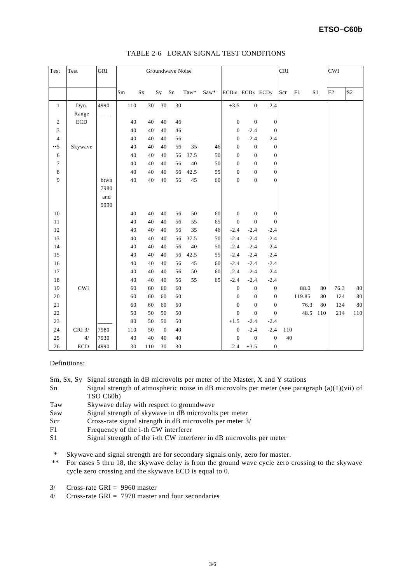# **ETSO–C60b**

| Test            | Test                        | GRI  | Groundwave Noise |         |              |            |      |      |                  |                  | CRI              |     |        | CWI            |      |                |
|-----------------|-----------------------------|------|------------------|---------|--------------|------------|------|------|------------------|------------------|------------------|-----|--------|----------------|------|----------------|
|                 |                             |      | Sm               | $S_{X}$ | Sy           | ${\rm Sn}$ | Taw* | Saw* | ECDm ECDx ECDy   |                  |                  | Scr | F1     | S <sub>1</sub> | F2   | S <sub>2</sub> |
| $\mathbf{1}$    | Dyn.                        | 4990 | 110              | 30      | 30           | 30         |      |      | $+3.5$           | $\boldsymbol{0}$ | $-2.4$           |     |        |                |      |                |
|                 | Range                       |      |                  |         |              |            |      |      |                  |                  |                  |     |        |                |      |                |
| $\sqrt{2}$      | $\rm ECD$                   |      | 40               | 40      | 40           | 46         |      |      | $\boldsymbol{0}$ | $\mathbf{0}$     | $\boldsymbol{0}$ |     |        |                |      |                |
| 3               |                             |      | 40               | 40      | 40           | 46         |      |      | $\boldsymbol{0}$ | $-2.4$           | $\mathbf{0}$     |     |        |                |      |                |
| $\overline{4}$  |                             |      | 40               | 40      | 40           | 56         |      |      | $\boldsymbol{0}$ | $-2.4$           | $-2.4$           |     |        |                |      |                |
| $\cdot \cdot 5$ | Skywave                     |      | 40               | 40      | 40           | 56         | 35   | 46   | $\overline{0}$   | $\overline{0}$   | $\mathbf{0}$     |     |        |                |      |                |
| 6               |                             |      | 40               | 40      | 40           | 56         | 37.5 | 50   | $\mathbf{0}$     | $\mathbf{0}$     | $\mathbf{0}$     |     |        |                |      |                |
| $\tau$          |                             |      | 40               | 40      | 40           | 56         | 40   | 50   | $\mathbf{0}$     | $\overline{0}$   | $\mathbf{0}$     |     |        |                |      |                |
| $\,$ 8 $\,$     |                             |      | 40               | 40      | 40           | 56         | 42.5 | 55   | $\boldsymbol{0}$ | $\mathbf{0}$     | $\boldsymbol{0}$ |     |        |                |      |                |
| 9               |                             | btwn | 40               | 40      | 40           | 56         | 45   | 60   | $\boldsymbol{0}$ | $\boldsymbol{0}$ | $\overline{0}$   |     |        |                |      |                |
|                 |                             | 7980 |                  |         |              |            |      |      |                  |                  |                  |     |        |                |      |                |
|                 |                             | and  |                  |         |              |            |      |      |                  |                  |                  |     |        |                |      |                |
|                 |                             | 9990 |                  |         |              |            |      |      |                  |                  |                  |     |        |                |      |                |
| 10              |                             |      | 40               | 40      | 40           | 56         | 50   | 60   | $\boldsymbol{0}$ | $\mathbf{0}$     | $\mathbf{0}$     |     |        |                |      |                |
| 11              |                             |      | 40               | 40      | 40           | 56         | 55   | 65   | $\mathbf{0}$     | $\mathbf{0}$     | $\boldsymbol{0}$ |     |        |                |      |                |
| 12              |                             |      | 40               | 40      | 40           | 56         | 35   | 46   | $-2.4$           | $-2.4$           | $-2.4$           |     |        |                |      |                |
| 13              |                             |      | 40               | 40      | 40           | 56         | 37.5 | 50   | $-2.4$           | $-2.4$           | $-2.4$           |     |        |                |      |                |
| 14              |                             |      | 40               | 40      | 40           | 56         | 40   | 50   | $-2.4$           | $-2.4$           | $-2.4$           |     |        |                |      |                |
| 15              |                             |      | 40               | 40      | 40           | 56         | 42.5 | 55   | $-2.4$           | $-2.4$           | $-2.4$           |     |        |                |      |                |
| 16              |                             |      | 40               | 40      | 40           | 56         | 45   | 60   | $-2.4$           | $-2.4$           | $-2.4$           |     |        |                |      |                |
| 17              |                             |      | 40               | 40      | 40           | 56         | 50   | 60   | $-2.4$           | $-2.4$           | $-2.4$           |     |        |                |      |                |
| 18              |                             |      | 40               | 40      | 40           | 56         | 55   | 65   | $-2.4$           | $-2.4$           | $-2.4$           |     |        |                |      |                |
| 19              | $\ensuremath{\mathrm{CWI}}$ |      | 60               | 60      | 60           | 60         |      |      | $\boldsymbol{0}$ | $\mathbf{0}$     | $\boldsymbol{0}$ |     | 88.0   | 80             | 76.3 | $80\,$         |
| $20\,$          |                             |      | 60               | 60      | 60           | 60         |      |      | $\boldsymbol{0}$ | $\mathbf{0}$     | $\mathbf{0}$     |     | 119.85 | 80             | 124  | $80\,$         |
| 21              |                             |      | 60               | 60      | 60           | 60         |      |      | $\theta$         | $\theta$         | $\mathbf{0}$     |     | 76.3   | 80             | 134  | $80\,$         |
| $22\,$          |                             |      | 50               | 50      | 50           | 50         |      |      | $\overline{0}$   | $\mathbf{0}$     | $\mathbf{0}$     |     | 48.5   | 110            | 214  | 110            |
| 23              |                             |      | 80               | 50      | 50           | 50         |      |      | $+1.5$           | $-2.4$           | $-2.4$           |     |        |                |      |                |
| 24              | CRI $3/$                    | 7980 | 110              | 50      | $\mathbf{0}$ | 40         |      |      | $\boldsymbol{0}$ | $-2.4$           | $-2.4$           | 110 |        |                |      |                |
| 25              | 4/                          | 7930 | 40               | 40      | 40           | $40\,$     |      |      | $\overline{0}$   | $\mathbf{0}$     | $\boldsymbol{0}$ | 40  |        |                |      |                |
| 26              | <b>ECD</b>                  | 4990 | 30               | 110     | 30           | 30         |      |      | $-2.4$           | $+3.5$           | $\boldsymbol{0}$ |     |        |                |      |                |

## TABLE 2-6 LORAN SIGNAL TEST CONDITIONS

### Definitions:

Sm, Sx, Sy Signal strength in dB microvolts per meter of the Master, X and Y stations

- Sn Signal strength of atmospheric noise in dB microvolts per meter (see paragraph (a)(1)(vii) of TSO C60b)
- Taw Skywave delay with respect to groundwave
- Saw Signal strength of skywave in dB microvolts per meter
- Scr Cross-rate signal strength in dB microvolts per meter 3/
- F1 Frequency of the i-th CW interferer
- S1 Signal strength of the i-th CW interferer in dB microvolts per meter

\* Skywave and signal strength are for secondary signals only, zero for master.<br>\*\* For cases 5 thru 18 the skywave delay is from the ground wave cycle zero

- For cases 5 thru 18, the skywave delay is from the ground wave cycle zero crossing to the skywave cycle zero crossing and the skywave ECD is equal to 0.
- $3/$  Cross-rate GRI = 9960 master
- $4/$  Cross-rate GRI = 7970 master and four secondaries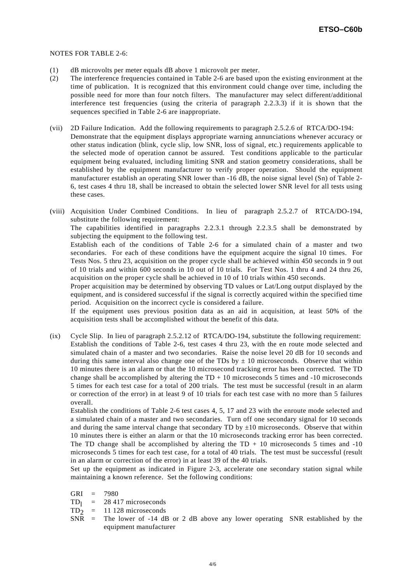#### NOTES FOR TABLE 2-6:

- (1) dB microvolts per meter equals dB above 1 microvolt per meter.
- (2) The interference frequencies contained in Table 2-6 are based upon the existing environment at the time of publication. It is recognized that this environment could change over time, including the possible need for more than four notch filters. The manufacturer may select different/additional interference test frequencies (using the criteria of paragraph 2.2.3.3) if it is shown that the sequences specified in Table 2-6 are inappropriate.
- (vii) 2D Failure Indication. Add the following requirements to paragraph 2.5.2.6 of RTCA/DO-194: Demonstrate that the equipment displays appropriate warning annunciations whenever accuracy or other status indication (blink, cycle slip, low SNR, loss of signal, etc.) requirements applicable to the selected mode of operation cannot be assured. Test conditions applicable to the particular equipment being evaluated, including limiting SNR and station geometry considerations, shall be established by the equipment manufacturer to verify proper operation. Should the equipment manufacturer establish an operating SNR lower than -16 dB, the noise signal level (Sn) of Table 2- 6, test cases 4 thru 18, shall be increased to obtain the selected lower SNR level for all tests using these cases.
- (viii) Acquisition Under Combined Conditions. In lieu of paragraph 2.5.2.7 of RTCA/DO-194, substitute the following requirement:

 The capabilities identified in paragraphs 2.2.3.1 through 2.2.3.5 shall be demonstrated by subjecting the equipment to the following test.

 Establish each of the conditions of Table 2-6 for a simulated chain of a master and two secondaries. For each of these conditions have the equipment acquire the signal 10 times. For Tests Nos. 5 thru 23, acquisition on the proper cycle shall be achieved within 450 seconds in 9 out of 10 trials and within 600 seconds in 10 out of 10 trials. For Test Nos. 1 thru 4 and 24 thru 26, acquisition on the proper cycle shall be achieved in 10 of 10 trials within 450 seconds.

 Proper acquisition may be determined by observing TD values or Lat/Long output displayed by the equipment, and is considered successful if the signal is correctly acquired within the specified time period. Acquisition on the incorrect cycle is considered a failure.

 If the equipment uses previous position data as an aid in acquisition, at least 50% of the acquisition tests shall be accomplished without the benefit of this data.

(ix) Cycle Slip. In lieu of paragraph 2.5.2.12 of RTCA/DO-194, substitute the following requirement: Establish the conditions of Table 2-6, test cases 4 thru 23, with the en route mode selected and simulated chain of a master and two secondaries. Raise the noise level 20 dB for 10 seconds and during this same interval also change one of the TDs by  $\pm$  10 microseconds. Observe that within 10 minutes there is an alarm or that the 10 microsecond tracking error has been corrected. The TD change shall be accomplished by altering the  $TD + 10$  microseconds 5 times and -10 microseconds 5 times for each test case for a total of 200 trials. The test must be successful (result in an alarm or correction of the error) in at least 9 of 10 trials for each test case with no more than 5 failures overall.

 Establish the conditions of Table 2-6 test cases 4, 5, 17 and 23 with the enroute mode selected and a simulated chain of a master and two secondaries. Turn off one secondary signal for 10 seconds and during the same interval change that secondary TD by  $\pm 10$  microseconds. Observe that within 10 minutes there is either an alarm or that the 10 microseconds tracking error has been corrected. The TD change shall be accomplished by altering the  $TD + 10$  microseconds 5 times and  $-10$ microseconds 5 times for each test case, for a total of 40 trials. The test must be successful (result in an alarm or correction of the error) in at least 39 of the 40 trials.

 Set up the equipment as indicated in Figure 2-3, accelerate one secondary station signal while maintaining a known reference. Set the following conditions:

GRI = 7980

 $TD_1$  = 28 417 microseconds

- $TD_2$  = 11 128 microseconds<br>SNR = The lower of -14 dB
- The lower of -14 dB or 2 dB above any lower operating SNR established by the equipment manufacturer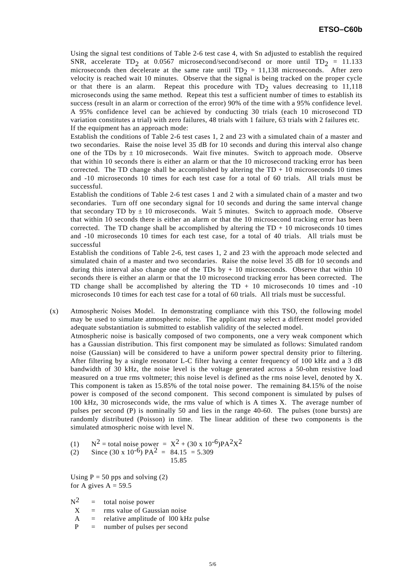Using the signal test conditions of Table 2-6 test case 4, with Sn adjusted to establish the required SNR, accelerate TD<sub>2</sub> at 0.0567 microsecond/second/second or more until TD<sub>2</sub> = 11.133 microseconds then decelerate at the same rate until  $TD_2 = 11,138$  microseconds. After zero velocity is reached wait 10 minutes. Observe that the signal is being tracked on the proper cycle or that there is an alarm. Repeat this procedure with  $TD_2$  values decreasing to 11,118 microseconds using the same method. Repeat this test a sufficient number of times to establish its success (result in an alarm or correction of the error) 90% of the time with a 95% confidence level. A 95% confidence level can be achieved by conducting 30 trials (each 10 microsecond TD variation constitutes a trial) with zero failures, 48 trials with 1 failure, 63 trials with 2 failures etc. If the equipment has an approach mode:

 Establish the conditions of Table 2-6 test cases 1, 2 and 23 with a simulated chain of a master and two secondaries. Raise the noise level 35 dB for 10 seconds and during this interval also change one of the TDs by  $\pm$  10 microseconds. Wait five minutes. Switch to approach mode. Observe that within 10 seconds there is either an alarm or that the 10 microsecond tracking error has been corrected. The TD change shall be accomplished by altering the  $TD + 10$  microseconds 10 times and -10 microseconds 10 times for each test case for a total of 60 trials. All trials must be successful.

 Establish the conditions of Table 2-6 test cases 1 and 2 with a simulated chain of a master and two secondaries. Turn off one secondary signal for 10 seconds and during the same interval change that secondary TD by  $\pm$  10 microseconds. Wait 5 minutes. Switch to approach mode. Observe that within 10 seconds there is either an alarm or that the 10 microsecond tracking error has been corrected. The TD change shall be accomplished by altering the  $TD + 10$  microseconds 10 times and -10 microseconds 10 times for each test case, for a total of 40 trials. All trials must be successful

 Establish the conditions of Table 2-6, test cases 1, 2 and 23 with the approach mode selected and simulated chain of a master and two secondaries. Raise the noise level 35 dB for 10 seconds and during this interval also change one of the TDs by  $+10$  microseconds. Observe that within 10 seconds there is either an alarm or that the 10 microsecond tracking error has been corrected. The TD change shall be accomplished by altering the  $TD + 10$  microseconds 10 times and  $-10$ microseconds 10 times for each test case for a total of 60 trials. All trials must be successful.

- (x) Atmospheric Noises Model. In demonstrating compliance with this TSO, the following model may be used to simulate atmospheric noise. The applicant may select a different model provided adequate substantiation is submitted to establish validity of the selected model. Atmospheric noise is basically composed of two components, one a very weak component which has a Gaussian distribution. This first component may be simulated as follows: Simulated random noise (Gaussian) will be considered to have a uniform power spectral density prior to filtering. After filtering by a single resonator L-C filter having a center frequency of 100 kHz and a 3 dB bandwidth of 30 kHz, the noise level is the voltage generated across a 50-ohm resistive load measured on a true rms voltmeter; this noise level is defined as the rms noise level, denoted by X. This component is taken as 15.85% of the total noise power. The remaining 84.15% of the noise power is composed of the second component. This second component is simulated by pulses of 100 kHz, 30 microseconds wide, the rms value of which is A times X. The average number of pulses per second (P) is nominally 50 and lies in the range 40-60. The pulses (tone bursts) are randomly distributed (Poisson) in time. The linear addition of these two components is the simulated atmospheric noise with level N.
	- (1)  $N^2$  = total noise power =  $X^2 + (30 \times 10^{-6})PA^2X^2$

(2) Since 
$$
(30 \times 10^{-6})
$$
 PA<sup>2</sup> = 84.15 = 5.309  
15.85

Using  $P = 50$  pps and solving (2) for A gives  $A = 59.5$ 

 $N^2$  = total noise power

- $X =$ rms value of Gaussian noise
- $A =$  relative amplitude of 100 kHz pulse
- P = number of pulses per second